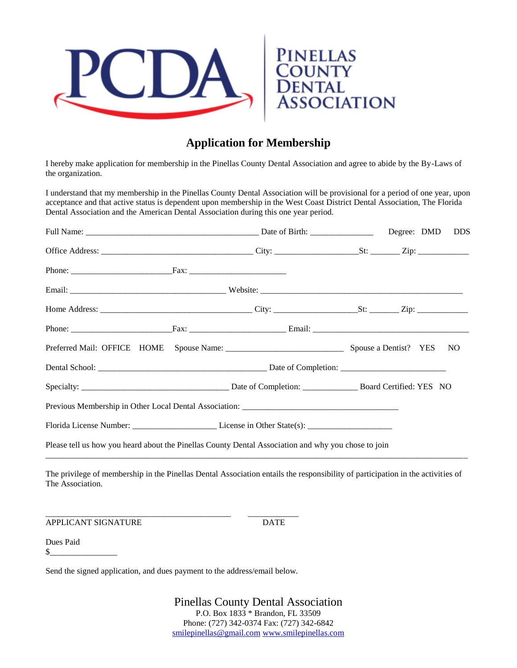

## **Application for Membership**

I hereby make application for membership in the Pinellas County Dental Association and agree to abide by the By-Laws of the organization.

I understand that my membership in the Pinellas County Dental Association will be provisional for a period of one year, upon acceptance and that active status is dependent upon membership in the West Coast District Dental Association, The Florida Dental Association and the American Dental Association during this one year period.

| Please tell us how you heard about the Pinellas County Dental Association and why you chose to join |  |  |  |  |  |
|-----------------------------------------------------------------------------------------------------|--|--|--|--|--|

The privilege of membership in the Pinellas Dental Association entails the responsibility of participation in the activities of The Association.

APPLICANT SIGNATURE DATE

Dues Paid  $\frac{\text{S}}{\text{S}}$ 

Send the signed application, and dues payment to the address/email below.

\_\_\_\_\_\_\_\_\_\_\_\_\_\_\_\_\_\_\_\_\_\_\_\_\_\_\_\_\_\_\_\_\_\_\_\_\_\_\_\_\_\_\_\_ \_\_\_\_\_\_\_\_\_\_\_\_

Pinellas County Dental Association P.O. Box 1833 \* Brandon, FL 33509 Phone: (727) 342-0374 Fax: (727) 342-6842 [smilepinellas@gmail.com](mailto:smilepinellas@gmail.com) [www.smilepinellas.com](http://www.smilepinellas.com/)